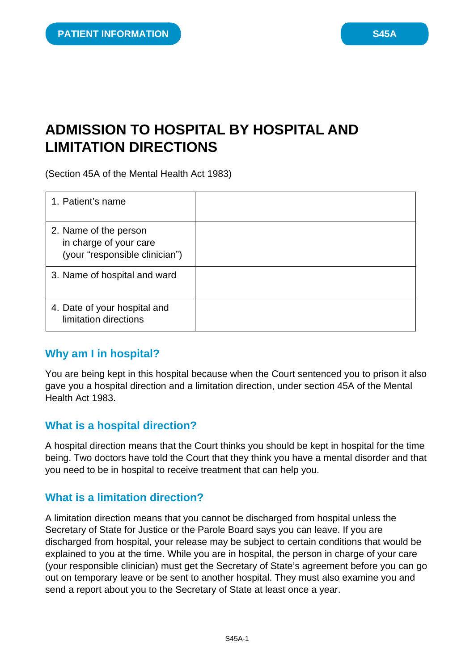# **ADMISSION TO HOSPITAL BY HOSPITAL AND LIMITATION DIRECTIONS**

(Section 45A of the Mental Health Act 1983)

| 1. Patient's name                                                                 |  |
|-----------------------------------------------------------------------------------|--|
| 2. Name of the person<br>in charge of your care<br>(your "responsible clinician") |  |
| 3. Name of hospital and ward                                                      |  |
| 4. Date of your hospital and<br>limitation directions                             |  |

## **Why am I in hospital?**

You are being kept in this hospital because when the Court sentenced you to prison it also gave you a hospital direction and a limitation direction, under section 45A of the Mental Health Act 1983.

## **What is a hospital direction?**

A hospital direction means that the Court thinks you should be kept in hospital for the time being. Two doctors have told the Court that they think you have a mental disorder and that you need to be in hospital to receive treatment that can help you.

## **What is a limitation direction?**

A limitation direction means that you cannot be discharged from hospital unless the Secretary of State for Justice or the Parole Board says you can leave. If you are discharged from hospital, your release may be subject to certain conditions that would be explained to you at the time. While you are in hospital, the person in charge of your care (your responsible clinician) must get the Secretary of State's agreement before you can go out on temporary leave or be sent to another hospital. They must also examine you and send a report about you to the Secretary of State at least once a year.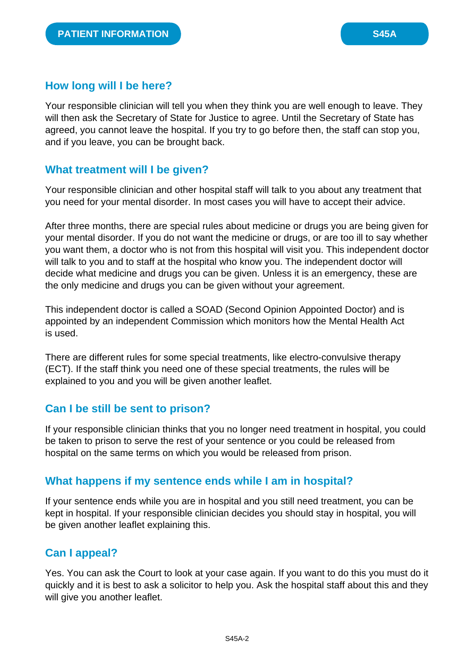# **How long will I be here?**

Your responsible clinician will tell you when they think you are well enough to leave. They will then ask the Secretary of State for Justice to agree. Until the Secretary of State has agreed, you cannot leave the hospital. If you try to go before then, the staff can stop you, and if you leave, you can be brought back.

# **What treatment will I be given?**

Your responsible clinician and other hospital staff will talk to you about any treatment that you need for your mental disorder. In most cases you will have to accept their advice.

After three months, there are special rules about medicine or drugs you are being given for your mental disorder. If you do not want the medicine or drugs, or are too ill to say whether you want them, a doctor who is not from this hospital will visit you. This independent doctor will talk to you and to staff at the hospital who know you. The independent doctor will decide what medicine and drugs you can be given. Unless it is an emergency, these are the only medicine and drugs you can be given without your agreement.

This independent doctor is called a SOAD (Second Opinion Appointed Doctor) and is appointed by an independent Commission which monitors how the Mental Health Act is used.

There are different rules for some special treatments, like electro-convulsive therapy (ECT). If the staff think you need one of these special treatments, the rules will be explained to you and you will be given another leaflet.

## **Can I be still be sent to prison?**

If your responsible clinician thinks that you no longer need treatment in hospital, you could be taken to prison to serve the rest of your sentence or you could be released from hospital on the same terms on which you would be released from prison.

# **What happens if my sentence ends while I am in hospital?**

If your sentence ends while you are in hospital and you still need treatment, you can be kept in hospital. If your responsible clinician decides you should stay in hospital, you will be given another leaflet explaining this.

# **Can I appeal?**

Yes. You can ask the Court to look at your case again. If you want to do this you must do it quickly and it is best to ask a solicitor to help you. Ask the hospital staff about this and they will give you another leaflet.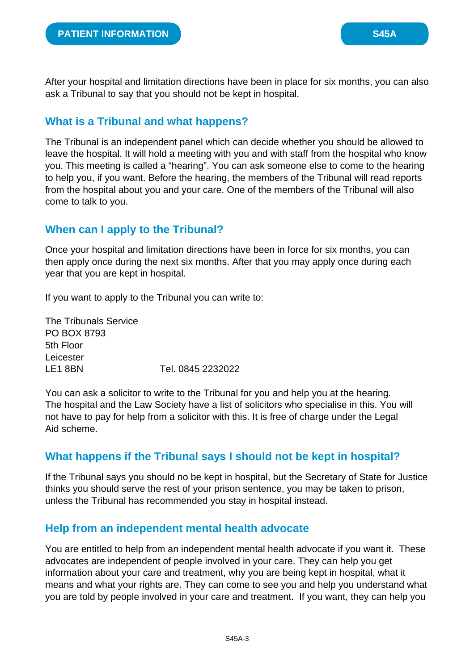After your hospital and limitation directions have been in place for six months, you can also ask a Tribunal to say that you should not be kept in hospital.

# **What is a Tribunal and what happens?**

The Tribunal is an independent panel which can decide whether you should be allowed to leave the hospital. It will hold a meeting with you and with staff from the hospital who know you. This meeting is called a "hearing". You can ask someone else to come to the hearing to help you, if you want. Before the hearing, the members of the Tribunal will read reports from the hospital about you and your care. One of the members of the Tribunal will also come to talk to you.

## **When can I apply to the Tribunal?**

Once your hospital and limitation directions have been in force for six months, you can then apply once during the next six months. After that you may apply once during each year that you are kept in hospital.

If you want to apply to the Tribunal you can write to:

The Tribunals Service PO BOX 8793 5th Floor Leicester LE1 8BN Tel. 0845 2232022

You can ask a solicitor to write to the Tribunal for you and help you at the hearing. The hospital and the Law Society have a list of solicitors who specialise in this. You will not have to pay for help from a solicitor with this. It is free of charge under the Legal Aid scheme.

# **What happens if the Tribunal says I should not be kept in hospital?**

If the Tribunal says you should no be kept in hospital, but the Secretary of State for Justice thinks you should serve the rest of your prison sentence, you may be taken to prison, unless the Tribunal has recommended you stay in hospital instead.

## **Help from an independent mental health advocate**

You are entitled to help from an independent mental health advocate if you want it. These advocates are independent of people involved in your care. They can help you get information about your care and treatment, why you are being kept in hospital, what it means and what your rights are. They can come to see you and help you understand what you are told by people involved in your care and treatment. If you want, they can help you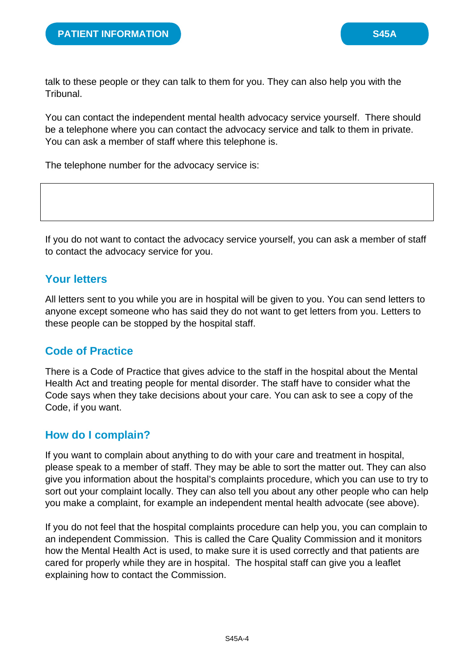talk to these people or they can talk to them for you. They can also help you with the Tribunal.

You can contact the independent mental health advocacy service yourself. There should be a telephone where you can contact the advocacy service and talk to them in private. You can ask a member of staff where this telephone is.

The telephone number for the advocacy service is:

If you do not want to contact the advocacy service yourself, you can ask a member of staff to contact the advocacy service for you.

# **Your letters**

All letters sent to you while you are in hospital will be given to you. You can send letters to anyone except someone who has said they do not want to get letters from you. Letters to these people can be stopped by the hospital staff.

## **Code of Practice**

There is a Code of Practice that gives advice to the staff in the hospital about the Mental Health Act and treating people for mental disorder. The staff have to consider what the Code says when they take decisions about your care. You can ask to see a copy of the Code, if you want.

## **How do I complain?**

If you want to complain about anything to do with your care and treatment in hospital, please speak to a member of staff. They may be able to sort the matter out. They can also give you information about the hospital's complaints procedure, which you can use to try to sort out your complaint locally. They can also tell you about any other people who can help you make a complaint, for example an independent mental health advocate (see above).

If you do not feel that the hospital complaints procedure can help you, you can complain to an independent Commission. This is called the Care Quality Commission and it monitors how the Mental Health Act is used, to make sure it is used correctly and that patients are cared for properly while they are in hospital. The hospital staff can give you a leaflet explaining how to contact the Commission.